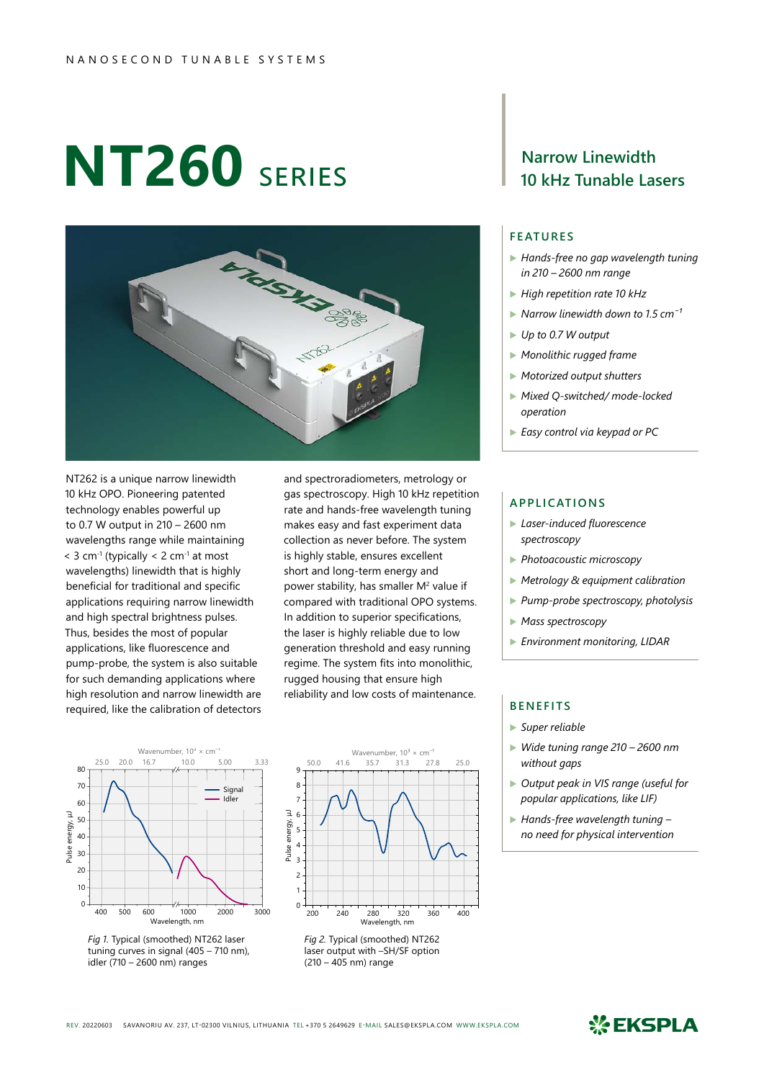# **NT260** series



NT262 is a unique narrow linewidth 10 kHz OPO. Pioneering patented technology enables powerful up to 0.7 W output in 210 – 2600 nm wavelengths range while maintaining  $<$  3 cm<sup>-1</sup> (typically  $<$  2 cm<sup>-1</sup> at most wavelengths) linewidth that is highly beneficial for traditional and specific applications requiring narrow linewidth and high spectral brightness pulses. Thus, besides the most of popular applications, like fluorescence and pump-probe, the system is also suitable for such demanding applications where high resolution and narrow linewidth are required, like the calibration of detectors

and spectroradiometers, metrology or gas spectroscopy. High 10 kHz repetition rate and hands-free wavelength tuning makes easy and fast experiment data collection as never before. The system is highly stable, ensures excellent short and long-term energy and power stability, has smaller  $M^2$  value if compared with traditional OPO systems. In addition to superior specifications, the laser is highly reliable due to low generation threshold and easy running regime. The system fits into monolithic, rugged housing that ensure high reliability and low costs of maintenance.









## **Narrow Linewidth 10 kHz Tunable Lasers**

### **FEATURES**

- ▶ *Hands-free no gap wavelength tuning in 210 – 2600 nm range*
- ▶ *High repetition rate 10 kHz*
- ▶ *Narrow linewidth down to 1.5 cm<sup>-1</sup>*
- ▶ *Up to 0.7 W output*
- ▶ *Monolithic rugged frame*
- ▶ *Motorized output shutters*
- ▶ *Mixed Q-switched/ mode-locked operation*
- ▶ *Easy control via keypad or PC*

#### **APPLICATIONS**

- ▶ *Laser-induced fluorescence spectroscopy*
- ▶ *Photoacoustic microscopy*
- ▶ *Metrology & equipment calibration*
- ▶ *Pump-probe spectroscopy, photolysis*
- ▶ *Mass spectroscopy*
- ▶ *Environment monitoring, LIDAR*

#### **BENEFITS**

- ▶ *Super reliable*
- ▶ *Wide tuning range 210 2600 nm without gaps*
- ▶ *Output peak in VIS range (useful for popular applications, like LIF)*
- ▶ *Hands-free wavelength tuning no need for physical intervention*